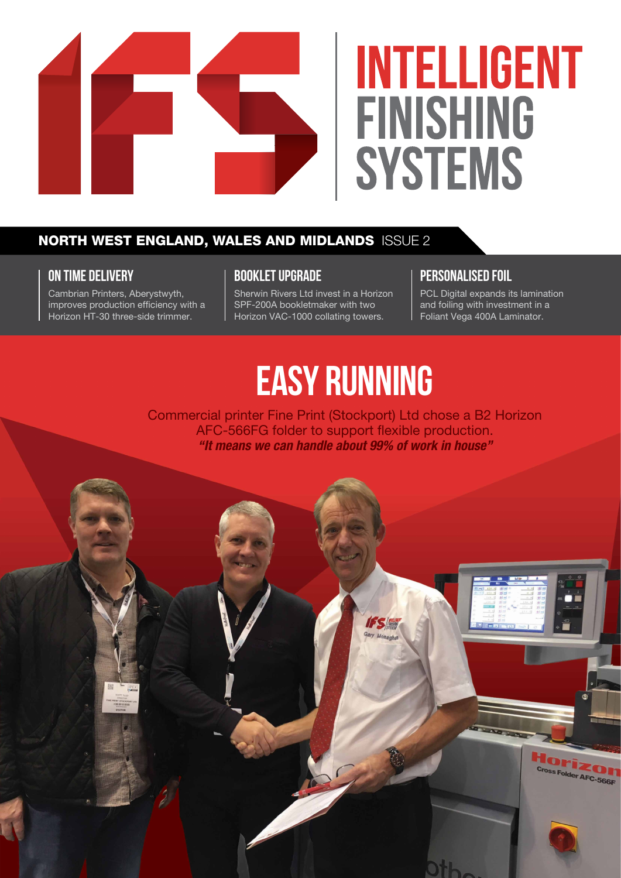

# **INTELLIGENT FINISHING SYSTEMS**

# NORTH WEST ENGLAND, WALES AND MIDLANDS ISSUE 2

### **ON TIME DELIVERY**

Cambrian Printers, Aberystwyth, improves production efficiency with a Horizon HT-30 three-side trimmer.

### **BOOKLET UPGRADE**

Sherwin Rivers Ltd invest in a Horizon SPF-200A bookletmaker with two Horizon VAC-1000 collating towers.

### **PERSONALISED FOIL**

PCL Digital expands its lamination and foiling with investment in a Foliant Vega 400A Laminator.

# **EASY RUNNING**

Commercial printer Fine Print (Stockport) Ltd chose a B2 Horizon AFC-566FG folder to support flexible production. *"It means we can handle about 99% of work in house"*

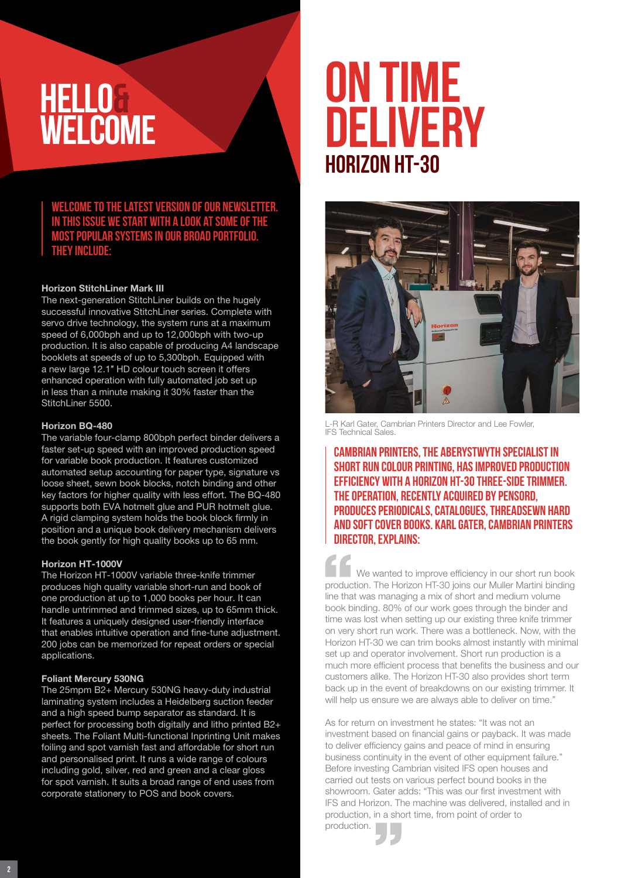# **HELLO& WELCOME**

### **Welcome to the latest version of our newsletter. In this issue we start with a look at some of the most popular systems in our broad portfolio. They include:**

#### Horizon StitchLiner Mark III

The next-generation StitchLiner builds on the hugely successful innovative StitchLiner series. Complete with servo drive technology, the system runs at a maximum speed of 6,000bph and up to 12,000bph with two-up production. It is also capable of producing A4 landscape booklets at speeds of up to 5,300bph. Equipped with a new large 12.1″ HD colour touch screen it offers enhanced operation with fully automated job set up in less than a minute making it 30% faster than the StitchLiner 5500.

#### Horizon BQ-480

The variable four-clamp 800bph perfect binder delivers a faster set-up speed with an improved production speed for variable book production. It features customized automated setup accounting for paper type, signature vs loose sheet, sewn book blocks, notch binding and other key factors for higher quality with less effort. The BQ-480 supports both EVA hotmelt glue and PUR hotmelt glue. A rigid clamping system holds the book block firmly in position and a unique book delivery mechanism delivers the book gently for high quality books up to 65 mm.

#### Horizon HT-1000V

The Horizon HT-1000V variable three-knife trimmer produces high quality variable short-run and book of one production at up to 1,000 books per hour. It can handle untrimmed and trimmed sizes, up to 65mm thick. It features a uniquely designed user-friendly interface that enables intuitive operation and fine-tune adjustment. 200 jobs can be memorized for repeat orders or special applications.

#### Foliant Mercury 530NG

The 25mpm B2+ Mercury 530NG heavy-duty industrial laminating system includes a Heidelberg suction feeder and a high speed bump separator as standard. It is perfect for processing both digitally and litho printed B2+ sheets. The Foliant Multi-functional Inprinting Unit makes foiling and spot varnish fast and affordable for short run and personalised print. It runs a wide range of colours including gold, silver, red and green and a clear gloss for spot varnish. It suits a broad range of end uses from corporate stationery to POS and book covers.

# **Horizon HT-30 ON TIME DELIVERY**



L-R Karl Gater, Cambrian Printers Director and Lee Fowler, IFS Technical Sales.

Cambrian Printers, the Aberystwyth specialist in short run colour printing, has improved production efficiency with a Horizon HT-30 three-side trimmer. The operation, recently acquired by Pensord, produces periodicals, catalogues, threadsewn hard and soft cover books. Karl Gater, Cambrian Printers DIRECTOR, EXPLAINS:

We wanted to improve efficiency in our short run book production. The Horizon HT-30 joins our Muller Martini binding line that was managing a mix of short and medium volume book binding. 80% of our work goes through the binder and time was lost when setting up our existing three knife trimmer on very short run work. There was a bottleneck. Now, with the Horizon HT-30 we can trim books almost instantly with minimal set up and operator involvement. Short run production is a much more efficient process that benefits the business and our customers alike. The Horizon HT-30 also provides short term back up in the event of breakdowns on our existing trimmer. It will help us ensure we are always able to deliver on time."

As for return on investment he states: "It was not an investment based on financial gains or payback. It was made to deliver efficiency gains and peace of mind in ensuring business continuity in the event of other equipment failure." Before investing Cambrian visited IFS open houses and carried out tests on various perfect bound books in the showroom. Gater adds: "This was our first investment with IFS and Horizon. The machine was delivered, installed and in production, in a short time, from point of order to production.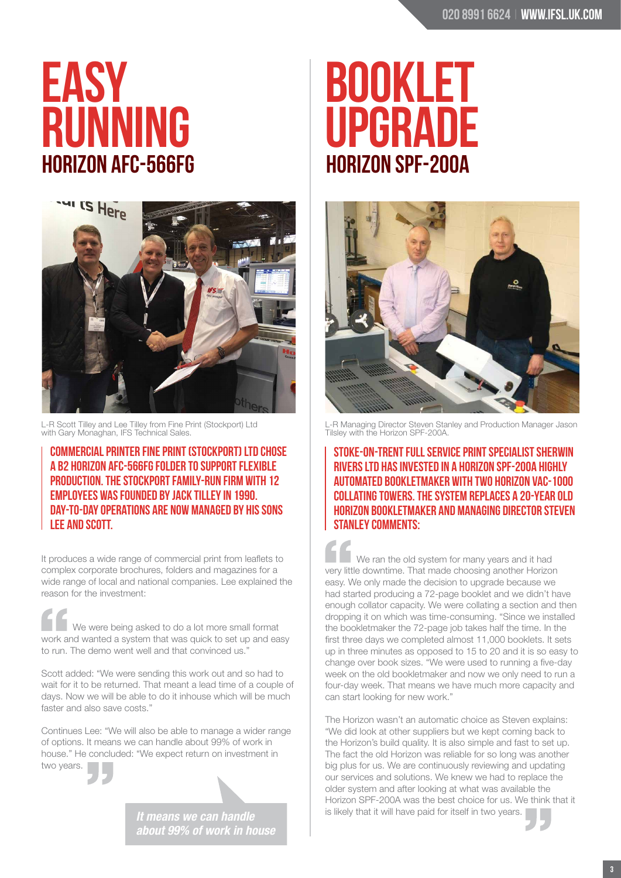# **Horizon AFC-566FG EASy RUNNING**



L-R Scott Tilley and Lee Tilley from Fine Print (Stockport) Ltd with Gary Monaghan, IFS Technical Sales.

Commercial printer Fine Print (Stockport) Ltd chose a B2 Horizon AFC-566FG folder to support flexible production. The Stockport family-run firm with 12 employees was founded by Jack Tilley in 1990. Day-to-day operations are now managed by his sons Lee and Scott.

It produces a wide range of commercial print from leaflets to complex corporate brochures, folders and magazines for a wide range of local and national companies. Lee explained the reason for the investment:

We were being asked to do a lot more small format work and wanted a system that was quick to set up and easy to run. The demo went well and that convinced us."

Scott added: "We were sending this work out and so had to wait for it to be returned. That meant a lead time of a couple of days. Now we will be able to do it inhouse which will be much faster and also save costs."

Continues Lee: "We will also be able to manage a wider range of options. It means we can handle about 99% of work in house." He concluded: "We expect return on investment in two years.

> *It means we can handle about 99% of work in house*

# **Horizon SPF-200A BOOKLET UPGRADE**



L-R Managing Director Steven Stanley and Production Manager Jason Tilsley with the Horizon SPF-200A.

Stoke-on-Trent full service print specialist Sherwin Rivers Ltd has invested in a Horizon SPF-200A highly automated bookletmaker with two Horizon VAC-1000 collating towers. The system replaces a 20-year old Horizon bookletmaker and Managing Director Steven Stanley comments:

We ran the old system for many years and it had very little downtime. That made choosing another Horizon easy. We only made the decision to upgrade because we had started producing a 72-page booklet and we didn't have enough collator capacity. We were collating a section and then dropping it on which was time-consuming. "Since we installed the bookletmaker the 72-page job takes half the time. In the first three days we completed almost 11,000 booklets. It sets up in three minutes as opposed to 15 to 20 and it is so easy to change over book sizes. "We were used to running a five-day week on the old bookletmaker and now we only need to run a four-day week. That means we have much more capacity and can start looking for new work."

The Horizon wasn't an automatic choice as Steven explains: "We did look at other suppliers but we kept coming back to the Horizon's build quality. It is also simple and fast to set up. The fact the old Horizon was reliable for so long was another big plus for us. We are continuously reviewing and updating our services and solutions. We knew we had to replace the older system and after looking at what was available the Horizon SPF-200A was the best choice for us. We think that it is likely that it will have paid for itself in two years.